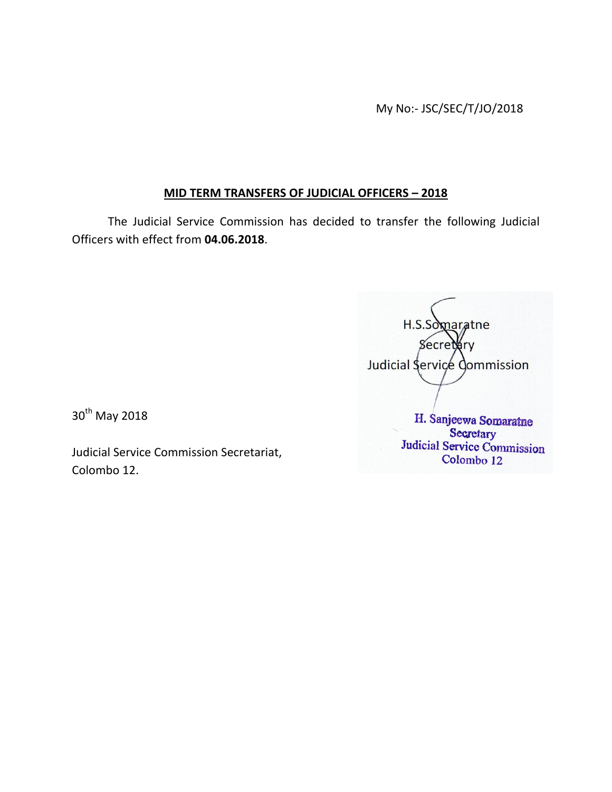My No:- JSC/SEC/T/JO/2018

## **MID TERM TRANSFERS OF JUDICIAL OFFICERS – 2018**

The Judicial Service Commission has decided to transfer the following Judicial Officers with effect from **04.06.2018**.

 H.S.Somaratne 8ecret⁄ary Judicial Service Commission H. Sanjeewa Somaratne Secretary Judicial Service Commission Colombo 12

30<sup>th</sup> May 2018

Judicial Service Commission Secretariat, Colombo 12.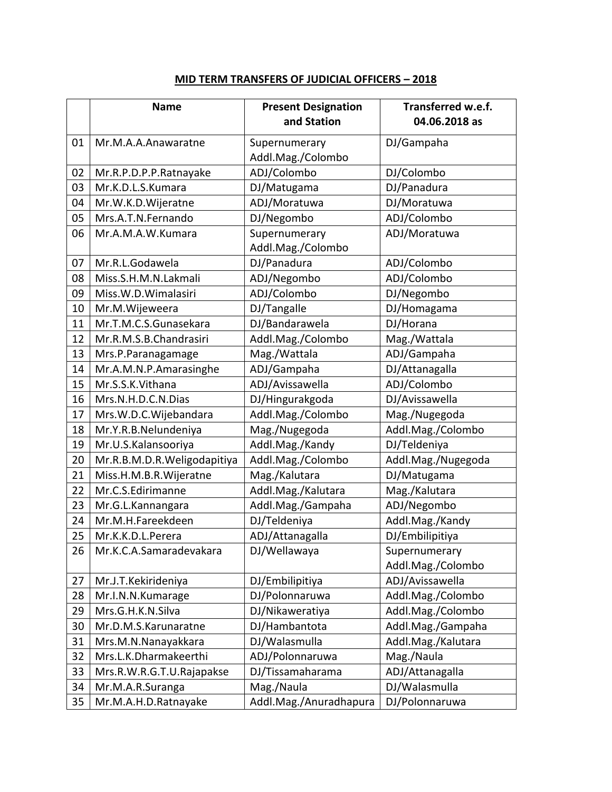|    | <b>Name</b>                 | <b>Present Designation</b><br>and Station | Transferred w.e.f.<br>04.06.2018 as |
|----|-----------------------------|-------------------------------------------|-------------------------------------|
| 01 | Mr.M.A.A.Anawaratne         | Supernumerary                             | DJ/Gampaha                          |
|    |                             | Addl.Mag./Colombo                         |                                     |
| 02 | Mr.R.P.D.P.P.Ratnayake      | ADJ/Colombo                               | DJ/Colombo                          |
| 03 | Mr.K.D.L.S.Kumara           | DJ/Matugama                               | DJ/Panadura                         |
| 04 | Mr.W.K.D.Wijeratne          | ADJ/Moratuwa                              | DJ/Moratuwa                         |
| 05 | Mrs.A.T.N.Fernando          | DJ/Negombo                                | ADJ/Colombo                         |
| 06 | Mr.A.M.A.W.Kumara           | Supernumerary                             | ADJ/Moratuwa                        |
|    |                             | Addl.Mag./Colombo                         |                                     |
| 07 | Mr.R.L.Godawela             | DJ/Panadura                               | ADJ/Colombo                         |
| 08 | Miss.S.H.M.N.Lakmali        | ADJ/Negombo                               | ADJ/Colombo                         |
| 09 | Miss.W.D.Wimalasiri         | ADJ/Colombo                               | DJ/Negombo                          |
| 10 | Mr.M.Wijeweera              | DJ/Tangalle                               | DJ/Homagama                         |
| 11 | Mr.T.M.C.S.Gunasekara       | DJ/Bandarawela                            | DJ/Horana                           |
| 12 | Mr.R.M.S.B.Chandrasiri      | Addl.Mag./Colombo                         | Mag./Wattala                        |
| 13 | Mrs.P.Paranagamage          | Mag./Wattala                              | ADJ/Gampaha                         |
| 14 | Mr.A.M.N.P.Amarasinghe      | ADJ/Gampaha                               | DJ/Attanagalla                      |
| 15 | Mr.S.S.K.Vithana            | ADJ/Avissawella                           | ADJ/Colombo                         |
| 16 | Mrs.N.H.D.C.N.Dias          | DJ/Hingurakgoda                           | DJ/Avissawella                      |
| 17 | Mrs.W.D.C.Wijebandara       | Addl.Mag./Colombo                         | Mag./Nugegoda                       |
| 18 | Mr.Y.R.B.Nelundeniya        | Mag./Nugegoda                             | Addl.Mag./Colombo                   |
| 19 | Mr.U.S.Kalansooriya         | Addl.Mag./Kandy                           | DJ/Teldeniya                        |
| 20 | Mr.R.B.M.D.R.Weligodapitiya | Addl.Mag./Colombo                         | Addl.Mag./Nugegoda                  |
| 21 | Miss.H.M.B.R.Wijeratne      | Mag./Kalutara                             | DJ/Matugama                         |
| 22 | Mr.C.S.Edirimanne           | Addl.Mag./Kalutara                        | Mag./Kalutara                       |
| 23 | Mr.G.L.Kannangara           | Addl.Mag./Gampaha                         | ADJ/Negombo                         |
| 24 | Mr.M.H.Fareekdeen           | DJ/Teldeniya                              | Addl.Mag./Kandy                     |
| 25 | Mr.K.K.D.L.Perera           | ADJ/Attanagalla                           | DJ/Embilipitiya                     |
| 26 | Mr.K.C.A.Samaradevakara     | DJ/Wellawaya                              | Supernumerary                       |
|    |                             |                                           | Addl.Mag./Colombo                   |
| 27 | Mr.J.T.Kekirideniya         | DJ/Embilipitiya                           | ADJ/Avissawella                     |
| 28 | Mr.I.N.N.Kumarage           | DJ/Polonnaruwa                            | Addl.Mag./Colombo                   |
| 29 | Mrs.G.H.K.N.Silva           | DJ/Nikaweratiya                           | Addl.Mag./Colombo                   |
| 30 | Mr.D.M.S.Karunaratne        | DJ/Hambantota                             | Addl.Mag./Gampaha                   |
| 31 | Mrs.M.N.Nanayakkara         | DJ/Walasmulla                             | Addl.Mag./Kalutara                  |
| 32 | Mrs.L.K.Dharmakeerthi       | ADJ/Polonnaruwa                           | Mag./Naula                          |
| 33 | Mrs.R.W.R.G.T.U.Rajapakse   | DJ/Tissamaharama                          | ADJ/Attanagalla                     |
| 34 | Mr.M.A.R.Suranga            | Mag./Naula                                | DJ/Walasmulla                       |
| 35 | Mr.M.A.H.D.Ratnayake        | Addl.Mag./Anuradhapura                    | DJ/Polonnaruwa                      |

## **MID TERM TRANSFERS OF JUDICIAL OFFICERS – 2018**